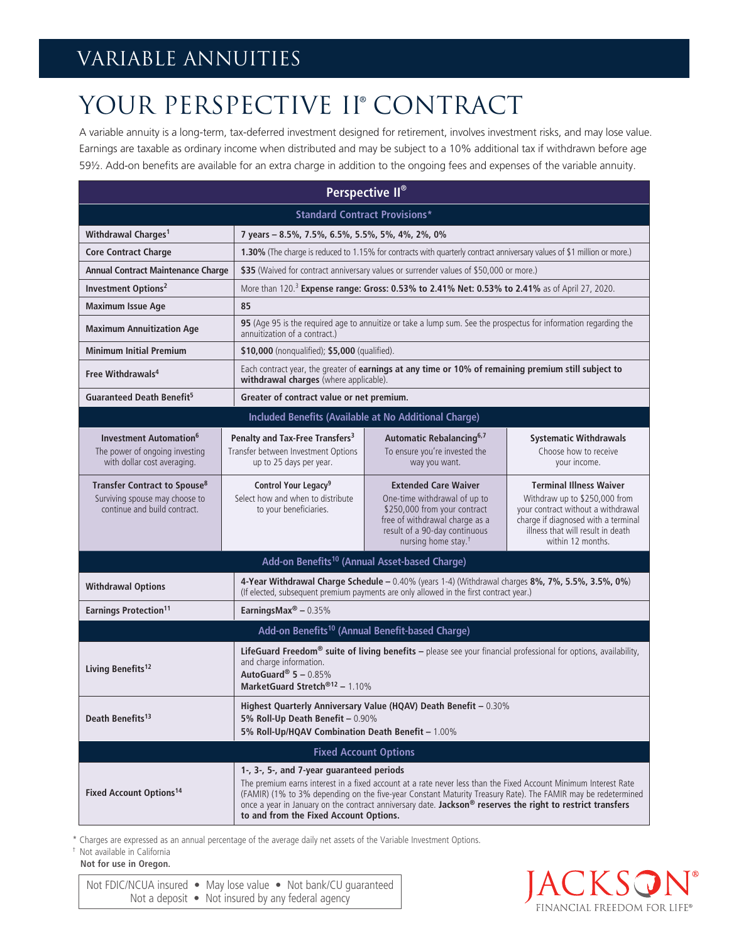## VARIABLE ANNUITIES

## YOUR PERSPECTIVE II® CONTRACT

A variable annuity is a long-term, tax-deferred investment designed for retirement, involves investment risks, and may lose value. Earnings are taxable as ordinary income when distributed and may be subject to a 10% additional tax if withdrawn before age 59½. Add-on benefits are available for an extra charge in addition to the ongoing fees and expenses of the variable annuity.

| Perspective II®                                                                                                                                                                                                                                                                                                                                                                                                                                                                               |                                                                                                                                                                                                         |                                                                                                                                                                                                   |                                                                                                                                                                                                        |
|-----------------------------------------------------------------------------------------------------------------------------------------------------------------------------------------------------------------------------------------------------------------------------------------------------------------------------------------------------------------------------------------------------------------------------------------------------------------------------------------------|---------------------------------------------------------------------------------------------------------------------------------------------------------------------------------------------------------|---------------------------------------------------------------------------------------------------------------------------------------------------------------------------------------------------|--------------------------------------------------------------------------------------------------------------------------------------------------------------------------------------------------------|
| <b>Standard Contract Provisions*</b>                                                                                                                                                                                                                                                                                                                                                                                                                                                          |                                                                                                                                                                                                         |                                                                                                                                                                                                   |                                                                                                                                                                                                        |
| Withdrawal Charges <sup>1</sup>                                                                                                                                                                                                                                                                                                                                                                                                                                                               | 7 years - 8.5%, 7.5%, 6.5%, 5.5%, 5%, 4%, 2%, 0%                                                                                                                                                        |                                                                                                                                                                                                   |                                                                                                                                                                                                        |
| <b>Core Contract Charge</b>                                                                                                                                                                                                                                                                                                                                                                                                                                                                   | 1.30% (The charge is reduced to 1.15% for contracts with quarterly contract anniversary values of \$1 million or more.)                                                                                 |                                                                                                                                                                                                   |                                                                                                                                                                                                        |
| <b>Annual Contract Maintenance Charge</b>                                                                                                                                                                                                                                                                                                                                                                                                                                                     | \$35 (Waived for contract anniversary values or surrender values of \$50,000 or more.)                                                                                                                  |                                                                                                                                                                                                   |                                                                                                                                                                                                        |
| Investment Options <sup>2</sup>                                                                                                                                                                                                                                                                                                                                                                                                                                                               | More than 120. <sup>3</sup> Expense range: Gross: 0.53% to 2.41% Net: 0.53% to 2.41% as of April 27, 2020.                                                                                              |                                                                                                                                                                                                   |                                                                                                                                                                                                        |
| <b>Maximum Issue Age</b>                                                                                                                                                                                                                                                                                                                                                                                                                                                                      | 85                                                                                                                                                                                                      |                                                                                                                                                                                                   |                                                                                                                                                                                                        |
| <b>Maximum Annuitization Age</b>                                                                                                                                                                                                                                                                                                                                                                                                                                                              | 95 (Age 95 is the required age to annuitize or take a lump sum. See the prospectus for information regarding the<br>annuitization of a contract.)                                                       |                                                                                                                                                                                                   |                                                                                                                                                                                                        |
| <b>Minimum Initial Premium</b>                                                                                                                                                                                                                                                                                                                                                                                                                                                                | \$10,000 (nonqualified); \$5,000 (qualified).                                                                                                                                                           |                                                                                                                                                                                                   |                                                                                                                                                                                                        |
| Free Withdrawals <sup>4</sup>                                                                                                                                                                                                                                                                                                                                                                                                                                                                 | Each contract year, the greater of earnings at any time or 10% of remaining premium still subject to<br>withdrawal charges (where applicable).                                                          |                                                                                                                                                                                                   |                                                                                                                                                                                                        |
| Guaranteed Death Benefit <sup>5</sup><br>Greater of contract value or net premium.                                                                                                                                                                                                                                                                                                                                                                                                            |                                                                                                                                                                                                         |                                                                                                                                                                                                   |                                                                                                                                                                                                        |
| Included Benefits (Available at No Additional Charge)                                                                                                                                                                                                                                                                                                                                                                                                                                         |                                                                                                                                                                                                         |                                                                                                                                                                                                   |                                                                                                                                                                                                        |
| <b>Investment Automation<sup>6</sup></b><br>The power of ongoing investing<br>with dollar cost averaging.                                                                                                                                                                                                                                                                                                                                                                                     | Penalty and Tax-Free Transfers <sup>3</sup><br>Transfer between Investment Options<br>up to 25 days per year.                                                                                           | Automatic Rebalancing <sup>6,7</sup><br>To ensure you're invested the<br>way you want.                                                                                                            | <b>Systematic Withdrawals</b><br>Choose how to receive<br>your income.                                                                                                                                 |
| Transfer Contract to Spouse <sup>8</sup><br>Surviving spouse may choose to<br>continue and build contract.                                                                                                                                                                                                                                                                                                                                                                                    | Control Your Legacy <sup>9</sup><br>Select how and when to distribute<br>to your beneficiaries.                                                                                                         | <b>Extended Care Waiver</b><br>One-time withdrawal of up to<br>\$250,000 from your contract<br>free of withdrawal charge as a<br>result of a 90-day continuous<br>nursing home stay. <sup>†</sup> | <b>Terminal Illness Waiver</b><br>Withdraw up to \$250,000 from<br>your contract without a withdrawal<br>charge if diagnosed with a terminal<br>illness that will result in death<br>within 12 months. |
| Add-on Benefits <sup>10</sup> (Annual Asset-based Charge)                                                                                                                                                                                                                                                                                                                                                                                                                                     |                                                                                                                                                                                                         |                                                                                                                                                                                                   |                                                                                                                                                                                                        |
| <b>Withdrawal Options</b>                                                                                                                                                                                                                                                                                                                                                                                                                                                                     | 4-Year Withdrawal Charge Schedule - 0.40% (years 1-4) (Withdrawal charges 8%, 7%, 5.5%, 3.5%, 0%)<br>(If elected, subsequent premium payments are only allowed in the first contract year.)             |                                                                                                                                                                                                   |                                                                                                                                                                                                        |
| <b>Earnings Protection<sup>11</sup></b>                                                                                                                                                                                                                                                                                                                                                                                                                                                       | EarningsMax® $-0.35%$                                                                                                                                                                                   |                                                                                                                                                                                                   |                                                                                                                                                                                                        |
| Add-on Benefits <sup>10</sup> (Annual Benefit-based Charge)                                                                                                                                                                                                                                                                                                                                                                                                                                   |                                                                                                                                                                                                         |                                                                                                                                                                                                   |                                                                                                                                                                                                        |
| Living Benefits <sup>12</sup>                                                                                                                                                                                                                                                                                                                                                                                                                                                                 | LifeGuard Freedom® suite of living benefits - please see your financial professional for options, availability,<br>and charge information.<br>AutoGuard® $5 - 0.85\%$<br>MarketGuard Stretch®12 - 1.10% |                                                                                                                                                                                                   |                                                                                                                                                                                                        |
| Death Benefits <sup>13</sup>                                                                                                                                                                                                                                                                                                                                                                                                                                                                  | Highest Quarterly Anniversary Value (HQAV) Death Benefit - 0.30%<br>5% Roll-Up Death Benefit - 0.90%<br>5% Roll-Up/HQAV Combination Death Benefit - 1.00%                                               |                                                                                                                                                                                                   |                                                                                                                                                                                                        |
| <b>Fixed Account Options</b>                                                                                                                                                                                                                                                                                                                                                                                                                                                                  |                                                                                                                                                                                                         |                                                                                                                                                                                                   |                                                                                                                                                                                                        |
| 1-, 3-, 5-, and 7-year guaranteed periods<br>The premium earns interest in a fixed account at a rate never less than the Fixed Account Minimum Interest Rate<br><b>Fixed Account Options<sup>14</sup></b><br>(FAMIR) (1% to 3% depending on the five-year Constant Maturity Treasury Rate). The FAMIR may be redetermined<br>once a year in January on the contract anniversary date. Jackson <sup>®</sup> reserves the right to restrict transfers<br>to and from the Fixed Account Options. |                                                                                                                                                                                                         |                                                                                                                                                                                                   |                                                                                                                                                                                                        |

\* Charges are expressed as an annual percentage of the average daily net assets of the Variable Investment Options.

† Not available in California **Not for use in Oregon.**

Not FDIC/NCUA insured • May lose value • Not bank/CU guaranteed Not a deposit • Not insured by any federal agency